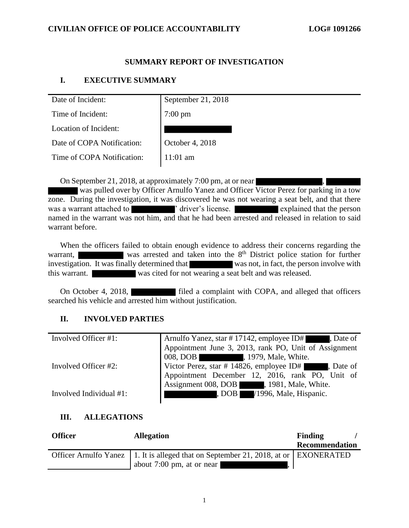### **SUMMARY REPORT OF INVESTIGATION**

### **I. EXECUTIVE SUMMARY**

| Date of Incident:          | September 21, 2018 |  |
|----------------------------|--------------------|--|
| Time of Incident:          | $7:00 \text{ pm}$  |  |
| Location of Incident:      |                    |  |
| Date of COPA Notification: | October 4, 2018    |  |
| Time of COPA Notification: | $11:01$ am         |  |
|                            |                    |  |

On September 21, 2018, at approximately 7:00 pm, at or near

was pulled over by Officer Arnulfo Yanez and Officer Victor Perez for parking in a tow zone. During the investigation, it was discovered he was not wearing a seat belt, and that there was a warrant attached to  $'$  driver's license. explained that the person named in the warrant was not him, and that he had been arrested and released in relation to said warrant before.

When the officers failed to obtain enough evidence to address their concerns regarding the warrant, was arrested and taken into the  $8<sup>th</sup>$  District police station for further investigation. It was finally determined that was not, in fact, the person involve with this warrant. was cited for not wearing a seat belt and was released.

On October 4, 2018, **Filed a complaint with COPA**, and alleged that officers searched his vehicle and arrested him without justification.

### **II. INVOLVED PARTIES**

| Involved Officer #1:    | Arnulfo Yanez, star #17142, employee ID#, Date of     |  |  |
|-------------------------|-------------------------------------------------------|--|--|
|                         | Appointment June 3, 2013, rank PO, Unit of Assignment |  |  |
|                         | 008, DOB , 1979, Male, White.                         |  |  |
| Involved Officer #2:    | Victor Perez, star # 14826, employee ID# , Date of    |  |  |
|                         | Appointment December 12, 2016, rank PO, Unit of       |  |  |
|                         | Assignment 008, DOB 1981, Male, White.                |  |  |
| Involved Individual #1: | , DOB I<br>/1996, Male, Hispanic.                     |  |  |

#### **III. ALLEGATIONS**

| <b>Officer</b> | <b>Allegation</b>                                                                       | Finding        |
|----------------|-----------------------------------------------------------------------------------------|----------------|
|                |                                                                                         | Recommendation |
|                | Officer Arnulfo Yanez   1. It is alleged that on September 21, 2018, at or   EXONERATED |                |
|                | about $7:00 \text{ pm}$ , at or near                                                    |                |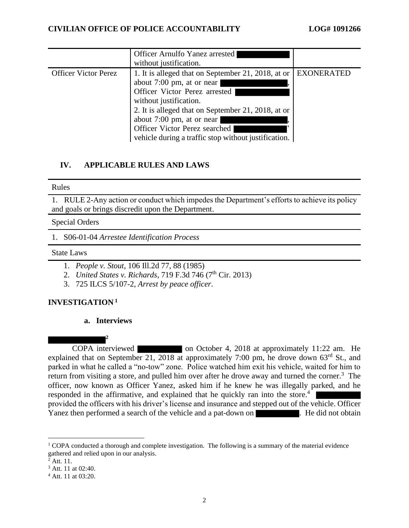|                             | Officer Arnulfo Yanez arrested<br>without justification. |                   |
|-----------------------------|----------------------------------------------------------|-------------------|
| <b>Officer Victor Perez</b> | 1. It is alleged that on September 21, 2018, at or       | <b>EXONERATED</b> |
|                             | about 7:00 pm, at or near                                |                   |
|                             | Officer Victor Perez arrested                            |                   |
|                             | without justification.                                   |                   |
|                             | 2. It is alleged that on September 21, 2018, at or       |                   |
|                             | about 7:00 pm, at or near                                |                   |
|                             | Officer Victor Perez searched                            |                   |
|                             | vehicle during a traffic stop without justification.     |                   |

## **IV. APPLICABLE RULES AND LAWS**

#### Rules

1. RULE 2-Any action or conduct which impedes the Department's efforts to achieve its policy and goals or brings discredit upon the Department.

#### Special Orders

1. S06-01-04 *Arrestee Identification Process*

#### State Laws

- 1. *People v. Stout*, 106 Ill.2d 77, 88 (1985)
- 2. *United States v. Richards*, 719 F.3d 746 (7<sup>th</sup> Cir. 2013)
- 3. 725 ILCS 5/107-2, *Arrest by peace officer*.

### **INVESTIGATION <sup>1</sup>**

#### **a. Interviews**

**2**

COPA interviewed on October 4, 2018 at approximately 11:22 am. He explained that on September 21, 2018 at approximately 7:00 pm, he drove down 63<sup>rd</sup> St., and parked in what he called a "no-tow" zone. Police watched him exit his vehicle, waited for him to return from visiting a store, and pulled him over after he drove away and turned the corner.<sup>3</sup> The officer, now known as Officer Yanez, asked him if he knew he was illegally parked, and he responded in the affirmative, and explained that he quickly ran into the store.<sup>4</sup> provided the officers with his driver's license and insurance and stepped out of the vehicle. Officer Yanez then performed a search of the vehicle and a pat-down on . He did not obtain

<sup>&</sup>lt;sup>1</sup> COPA conducted a thorough and complete investigation. The following is a summary of the material evidence gathered and relied upon in our analysis.

 $2$  Att. 11.

<sup>&</sup>lt;sup>3</sup> Att. 11 at 02:40.

<sup>4</sup> Att. 11 at 03:20.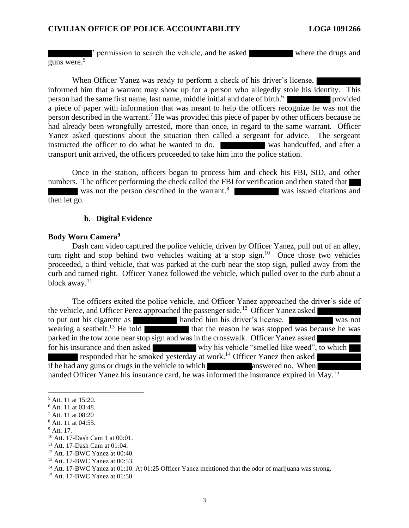' permission to search the vehicle, and he asked where the drugs and guns were. 5

When Officer Yanez was ready to perform a check of his driver's license, informed him that a warrant may show up for a person who allegedly stole his identity. This person had the same first name, last name, middle initial and date of birth.<sup>6</sup> provided a piece of paper with information that was meant to help the officers recognize he was not the person described in the warrant.<sup>7</sup> He was provided this piece of paper by other officers because he had already been wrongfully arrested, more than once, in regard to the same warrant. Officer Yanez asked questions about the situation then called a sergeant for advice. The sergeant instructed the officer to do what he wanted to do. was handcuffed, and after a transport unit arrived, the officers proceeded to take him into the police station.

Once in the station, officers began to process him and check his FBI, SID, and other numbers. The officer performing the check called the FBI for verification and then stated that was not the person described in the warrant.<sup>8</sup> was issued citations and then let go.

#### **b. Digital Evidence**

#### **Body Worn Camera<sup>9</sup>**

Dash cam video captured the police vehicle, driven by Officer Yanez, pull out of an alley, turn right and stop behind two vehicles waiting at a stop sign.<sup>10</sup> Once those two vehicles proceeded, a third vehicle, that was parked at the curb near the stop sign, pulled away from the curb and turned right. Officer Yanez followed the vehicle, which pulled over to the curb about a block away.<sup>11</sup>

The officers exited the police vehicle, and Officer Yanez approached the driver's side of the vehicle, and Officer Perez approached the passenger side.<sup>12</sup> Officer Yanez asked to put out his cigarette as handed him his driver's license.<br>was not wearing a seatbelt.<sup>13</sup> He told that the reason he was stopped was because he was that the reason he was stopped was because he was parked in the tow zone near stop sign and was in the crosswalk. Officer Yanez asked for his insurance and then asked why his vehicle "smelled like weed", to which responded that he smoked yesterday at work. <sup>14</sup> Officer Yanez then asked if he had any guns or drugs in the vehicle to which answered no. When handed Officer Yanez his insurance card, he was informed the insurance expired in May.<sup>15</sup>

<sup>5</sup> Att. 11 at 15:20.

<sup>6</sup> Att. 11 at 03:48.

<sup>7</sup> Att. 11 at 08:20

<sup>8</sup> Att. 11 at 04:55.

 $9$  Att. 17.

<sup>10</sup> Att. 17-Dash Cam 1 at 00:01.

<sup>11</sup> Att. 17-Dash Cam at 01:04.

<sup>12</sup> Att. 17-BWC Yanez at 00:40.

<sup>13</sup> Att. 17-BWC Yanez at 00:53.

<sup>&</sup>lt;sup>14</sup> Att. 17-BWC Yanez at 01:10. At 01:25 Officer Yanez mentioned that the odor of marijuana was strong.

<sup>15</sup> Att. 17-BWC Yanez at 01:50.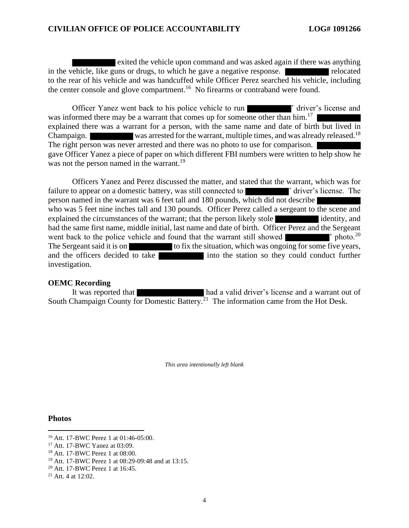exited the vehicle upon command and was asked again if there was anything in the vehicle, like guns or drugs, to which he gave a negative response. The relocated to the rear of his vehicle and was handcuffed while Officer Perez searched his vehicle, including the center console and glove compartment.<sup>16</sup> No firearms or contraband were found.

Officer Yanez went back to his police vehicle to run **the act of the state of the vehicle** of driver's license and was informed there may be a warrant that comes up for someone other than him.<sup>17</sup> explained there was a warrant for a person, with the same name and date of birth but lived in Champaign. was arrested for the warrant, multiple times, and was already released.<sup>18</sup> The right person was never arrested and there was no photo to use for comparison. gave Officer Yanez a piece of paper on which different FBI numbers were written to help show he was not the person named in the warrant.<sup>19</sup>

Officers Yanez and Perez discussed the matter, and stated that the warrant, which was for failure to appear on a domestic battery, was still connected to ' driver's license. The person named in the warrant was 6 feet tall and 180 pounds, which did not describe who was 5 feet nine inches tall and 130 pounds. Officer Perez called a sergeant to the scene and explained the circumstances of the warrant; that the person likely stole identity, and had the same first name, middle initial, last name and date of birth. Officer Perez and the Sergeant went back to the police vehicle and found that the warrant still showed  $\mathbf{\mathsf{r}}$  photo.<sup>20</sup> The Sergeant said it is on the situation, which was ongoing for some five years, and the officers decided to take into the station so they could conduct further investigation.

#### **OEMC Recording**

It was reported that had a valid driver's license and a warrant out of South Champaign County for Domestic Battery.<sup>21</sup> The information came from the Hot Desk.

*This area intentionally left blank*

#### **Photos**

<sup>16</sup> Att. 17-BWC Perez 1 at 01:46-05:00.

<sup>17</sup> Att. 17-BWC Yanez at 03:09.

<sup>18</sup> Att. 17-BWC Perez 1 at 08:00.

<sup>19</sup> Att. 17-BWC Perez 1 at 08:29-09:48 and at 13:15.

<sup>20</sup> Att. 17-BWC Perez 1 at 16:45.

<sup>21</sup> Att. 4 at 12:02.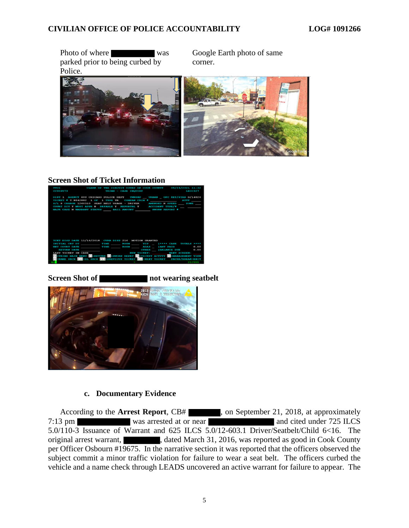Photo of where was Google Earth photo of same parked prior to being curbed by corner. Police.



## **Screen Shot of Ticket Information**



**Screen Shot of not wearing seatbelt** 



### **c. Documentary Evidence**

According to the **Arrest Report**, CB# , on September 21, 2018, at approximately 7:13 pm was arrested at or near and cited under 725 ILCS 5.0/110-3 Issuance of Warrant and 625 ILCS 5.0/12-603.1 Driver/Seatbelt/Child 6<16. The original arrest warrant,  $\blacksquare$ , dated March 31, 2016, was reported as good in Cook County per Officer Osbourn #19675. In the narrative section it was reported that the officers observed the subject commit a minor traffic violation for failure to wear a seat belt. The officers curbed the vehicle and a name check through LEADS uncovered an active warrant for failure to appear. The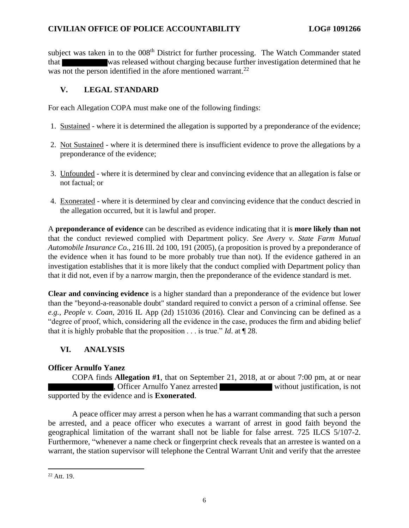subject was taken in to the 008<sup>th</sup> District for further processing. The Watch Commander stated that was released without charging because further investigation determined that he was not the person identified in the afore mentioned warrant.<sup>22</sup>

## **V. LEGAL STANDARD**

For each Allegation COPA must make one of the following findings:

- 1. Sustained where it is determined the allegation is supported by a preponderance of the evidence;
- 2. Not Sustained where it is determined there is insufficient evidence to prove the allegations by a preponderance of the evidence;
- 3. Unfounded where it is determined by clear and convincing evidence that an allegation is false or not factual; or
- 4. Exonerated where it is determined by clear and convincing evidence that the conduct descried in the allegation occurred, but it is lawful and proper.

A **preponderance of evidence** can be described as evidence indicating that it is **more likely than not** that the conduct reviewed complied with Department policy. *See Avery v. State Farm Mutual Automobile Insurance Co.*, 216 Ill. 2d 100, 191 (2005), (a proposition is proved by a preponderance of the evidence when it has found to be more probably true than not). If the evidence gathered in an investigation establishes that it is more likely that the conduct complied with Department policy than that it did not, even if by a narrow margin, then the preponderance of the evidence standard is met.

**Clear and convincing evidence** is a higher standard than a preponderance of the evidence but lower than the "beyond-a-reasonable doubt" standard required to convict a person of a criminal offense. See *e.g.*, *People v. Coan*, 2016 IL App (2d) 151036 (2016). Clear and Convincing can be defined as a "degree of proof, which, considering all the evidence in the case, produces the firm and abiding belief that it is highly probable that the proposition . . . is true." *Id*. at ¶ 28.

## **VI. ANALYSIS**

### **Officer Arnulfo Yanez**

COPA finds **Allegation #1**, that on September 21, 2018, at or about 7:00 pm, at or near , Officer Arnulfo Yanez arrested without justification, is not supported by the evidence and is **Exonerated**.

A peace officer may arrest a person when he has a warrant commanding that such a person be arrested, and a peace officer who executes a warrant of arrest in good faith beyond the geographical limitation of the warrant shall not be liable for false arrest. 725 ILCS 5/107-2. Furthermore, "whenever a name check or fingerprint check reveals that an arrestee is wanted on a warrant, the station supervisor will telephone the Central Warrant Unit and verify that the arrestee

 $22$  Att. 19.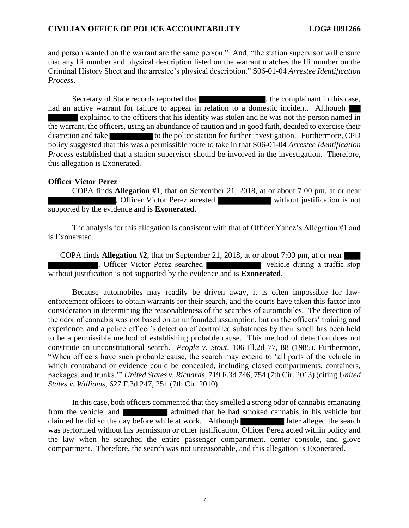and person wanted on the warrant are the same person." And, "the station supervisor will ensure that any IR number and physical description listed on the warrant matches the IR number on the Criminal History Sheet and the arrestee's physical description." S06-01-04 *Arrestee Identification Process*.

Secretary of State records reported that , the complainant in this case, had an active warrant for failure to appear in relation to a domestic incident. Although explained to the officers that his identity was stolen and he was not the person named in the warrant, the officers, using an abundance of caution and in good faith, decided to exercise their discretion and take to the police station for further investigation. Furthermore, CPD policy suggested that this was a permissible route to take in that S06-01-04 *Arrestee Identification Process* established that a station supervisor should be involved in the investigation. Therefore, this allegation is Exonerated.

#### **Officer Victor Perez**

COPA finds **Allegation #1**, that on September 21, 2018, at or about 7:00 pm, at or near , Officer Victor Perez arrested without justification is not supported by the evidence and is **Exonerated**.

The analysis for this allegation is consistent with that of Officer Yanez's Allegation #1 and is Exonerated.

COPA finds **Allegation #2**, that on September 21, 2018, at or about 7:00 pm, at or near , Officer Victor Perez searched ' vehicle during a traffic stop without justification is not supported by the evidence and is **Exonerated**.

Because automobiles may readily be driven away, it is often impossible for lawenforcement officers to obtain warrants for their search, and the courts have taken this factor into consideration in determining the reasonableness of the searches of automobiles. The detection of the odor of cannabis was not based on an unfounded assumption, but on the officers' training and experience, and a police officer's detection of controlled substances by their smell has been held to be a permissible method of establishing probable cause. This method of detection does not constitute an unconstitutional search. *People v. Stout*, 106 Ill.2d 77, 88 (1985). Furthermore, "When officers have such probable cause, the search may extend to 'all parts of the vehicle in which contraband or evidence could be concealed, including closed compartments, containers, packages, and trunks.'" *United States v. Richards*, 719 F.3d 746, 754 (7th Cir. 2013) (citing *United States v. Williams*, 627 F.3d 247, 251 (7th Cir. 2010).

In this case, both officers commented that they smelled a strong odor of cannabis emanating from the vehicle, and **a** admitted that he had smoked cannabis in his vehicle but claimed he did so the day before while at work. Although later alleged the search was performed without his permission or other justification, Officer Perez acted within policy and the law when he searched the entire passenger compartment, center console, and glove compartment. Therefore, the search was not unreasonable, and this allegation is Exonerated.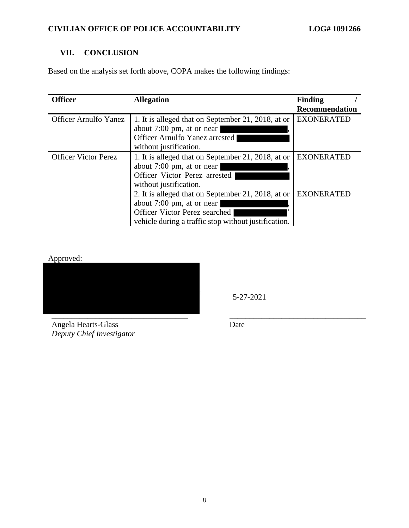# **VII. CONCLUSION**

Based on the analysis set forth above, COPA makes the following findings:

| <b>Officer</b>               | <b>Allegation</b>                                                                                                                                                        | <b>Finding</b><br><b>Recommendation</b> |
|------------------------------|--------------------------------------------------------------------------------------------------------------------------------------------------------------------------|-----------------------------------------|
| <b>Officer Arnulfo Yanez</b> | 1. It is alleged that on September 21, 2018, at or<br>about 7:00 pm, at or near<br>Officer Arnulfo Yanez arrested<br>without justification.                              | <b>EXONERATED</b>                       |
| <b>Officer Victor Perez</b>  | 1. It is alleged that on September 21, 2018, at or<br>about 7:00 pm, at or near<br>Officer Victor Perez arrested<br>without justification.                               | <b>EXONERATED</b>                       |
|                              | 2. It is alleged that on September 21, 2018, at or<br>about 7:00 pm, at or near<br>Officer Victor Perez searched<br>vehicle during a traffic stop without justification. | <b>EXONERATED</b>                       |

Approved:



5-27-2021

Angela Hearts-Glass *Deputy Chief Investigator* Date